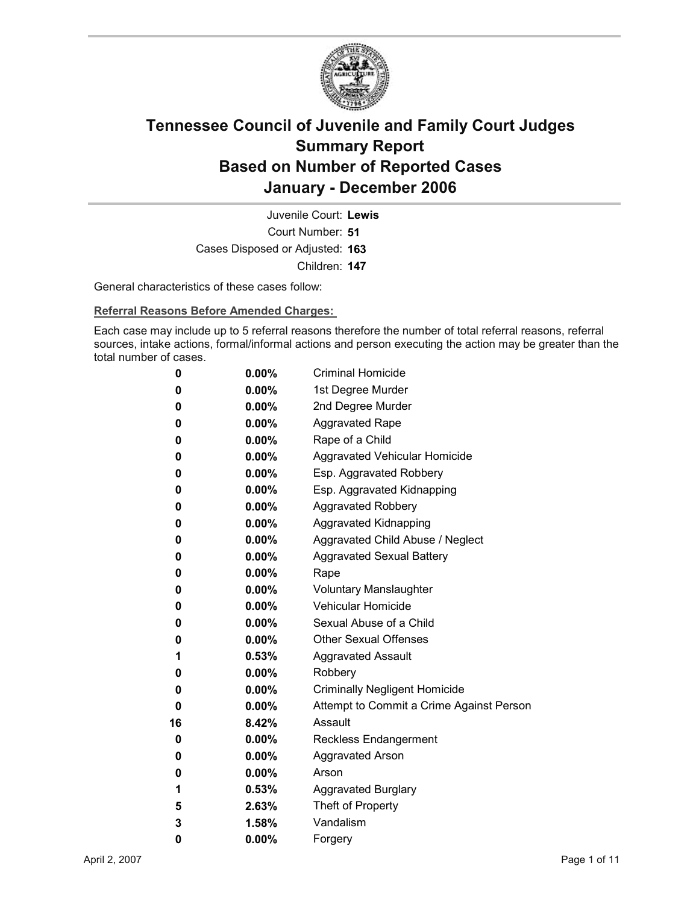

Court Number: **51** Juvenile Court: **Lewis** Cases Disposed or Adjusted: **163** Children: **147**

General characteristics of these cases follow:

**Referral Reasons Before Amended Charges:** 

Each case may include up to 5 referral reasons therefore the number of total referral reasons, referral sources, intake actions, formal/informal actions and person executing the action may be greater than the total number of cases.

| 0  | $0.00\%$ | <b>Criminal Homicide</b>                 |
|----|----------|------------------------------------------|
| 0  | $0.00\%$ | 1st Degree Murder                        |
| 0  | $0.00\%$ | 2nd Degree Murder                        |
| 0  | $0.00\%$ | <b>Aggravated Rape</b>                   |
| 0  | $0.00\%$ | Rape of a Child                          |
| 0  | $0.00\%$ | Aggravated Vehicular Homicide            |
| 0  | $0.00\%$ | Esp. Aggravated Robbery                  |
| 0  | $0.00\%$ | Esp. Aggravated Kidnapping               |
| 0  | $0.00\%$ | <b>Aggravated Robbery</b>                |
| 0  | $0.00\%$ | <b>Aggravated Kidnapping</b>             |
| 0  | $0.00\%$ | Aggravated Child Abuse / Neglect         |
| 0  | $0.00\%$ | <b>Aggravated Sexual Battery</b>         |
| 0  | $0.00\%$ | Rape                                     |
| 0  | $0.00\%$ | <b>Voluntary Manslaughter</b>            |
| 0  | $0.00\%$ | <b>Vehicular Homicide</b>                |
| 0  | $0.00\%$ | Sexual Abuse of a Child                  |
| 0  | $0.00\%$ | <b>Other Sexual Offenses</b>             |
| 1  | $0.53\%$ | <b>Aggravated Assault</b>                |
| 0  | $0.00\%$ | Robbery                                  |
| 0  | $0.00\%$ | <b>Criminally Negligent Homicide</b>     |
| 0  | $0.00\%$ | Attempt to Commit a Crime Against Person |
| 16 | 8.42%    | Assault                                  |
| 0  | $0.00\%$ | <b>Reckless Endangerment</b>             |
| 0  | $0.00\%$ | <b>Aggravated Arson</b>                  |
| 0  | $0.00\%$ | Arson                                    |
| 1  | $0.53\%$ | <b>Aggravated Burglary</b>               |
| 5  | 2.63%    | Theft of Property                        |
| 3  | 1.58%    | Vandalism                                |
| 0  | 0.00%    | Forgery                                  |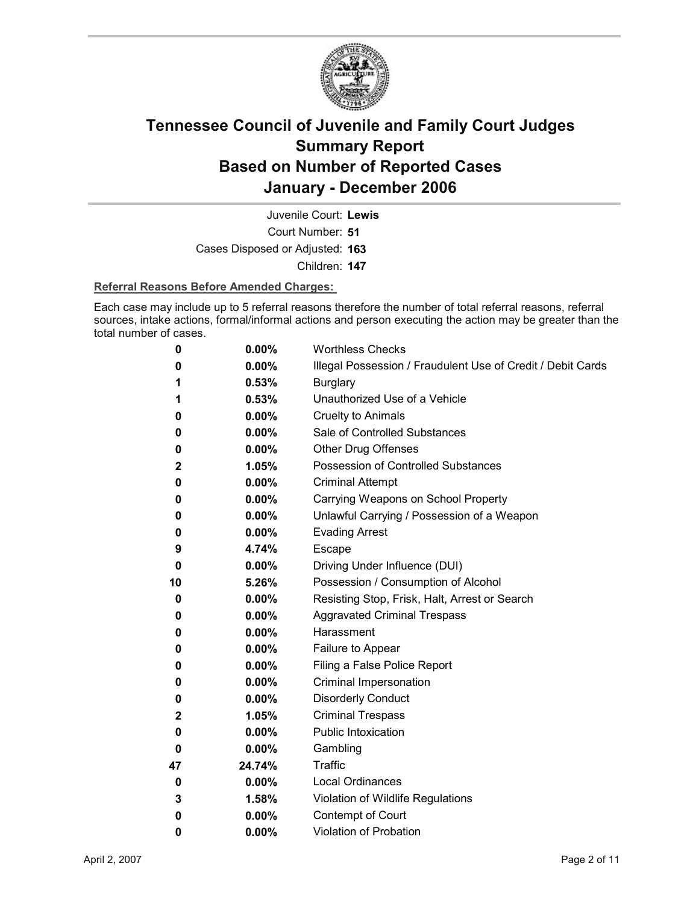

Court Number: **51** Juvenile Court: **Lewis** Cases Disposed or Adjusted: **163**

Children: **147**

### **Referral Reasons Before Amended Charges:**

Each case may include up to 5 referral reasons therefore the number of total referral reasons, referral sources, intake actions, formal/informal actions and person executing the action may be greater than the total number of cases.

| 0  | 0.00%    | <b>Worthless Checks</b>                                     |
|----|----------|-------------------------------------------------------------|
| 0  | $0.00\%$ | Illegal Possession / Fraudulent Use of Credit / Debit Cards |
| 1  | 0.53%    | <b>Burglary</b>                                             |
| 1  | 0.53%    | Unauthorized Use of a Vehicle                               |
| 0  | $0.00\%$ | <b>Cruelty to Animals</b>                                   |
| 0  | $0.00\%$ | Sale of Controlled Substances                               |
| 0  | $0.00\%$ | <b>Other Drug Offenses</b>                                  |
| 2  | 1.05%    | Possession of Controlled Substances                         |
| 0  | $0.00\%$ | <b>Criminal Attempt</b>                                     |
| 0  | $0.00\%$ | Carrying Weapons on School Property                         |
| 0  | $0.00\%$ | Unlawful Carrying / Possession of a Weapon                  |
| 0  | 0.00%    | <b>Evading Arrest</b>                                       |
| 9  | 4.74%    | Escape                                                      |
| 0  | $0.00\%$ | Driving Under Influence (DUI)                               |
| 10 | 5.26%    | Possession / Consumption of Alcohol                         |
| 0  | $0.00\%$ | Resisting Stop, Frisk, Halt, Arrest or Search               |
| 0  | 0.00%    | <b>Aggravated Criminal Trespass</b>                         |
| 0  | $0.00\%$ | Harassment                                                  |
| 0  | $0.00\%$ | Failure to Appear                                           |
| 0  | $0.00\%$ | Filing a False Police Report                                |
| 0  | $0.00\%$ | Criminal Impersonation                                      |
| 0  | $0.00\%$ | <b>Disorderly Conduct</b>                                   |
| 2  | 1.05%    | <b>Criminal Trespass</b>                                    |
| 0  | $0.00\%$ | <b>Public Intoxication</b>                                  |
| 0  | $0.00\%$ | Gambling                                                    |
| 47 | 24.74%   | Traffic                                                     |
| 0  | $0.00\%$ | <b>Local Ordinances</b>                                     |
| 3  | 1.58%    | Violation of Wildlife Regulations                           |
| 0  | 0.00%    | Contempt of Court                                           |
| 0  | $0.00\%$ | <b>Violation of Probation</b>                               |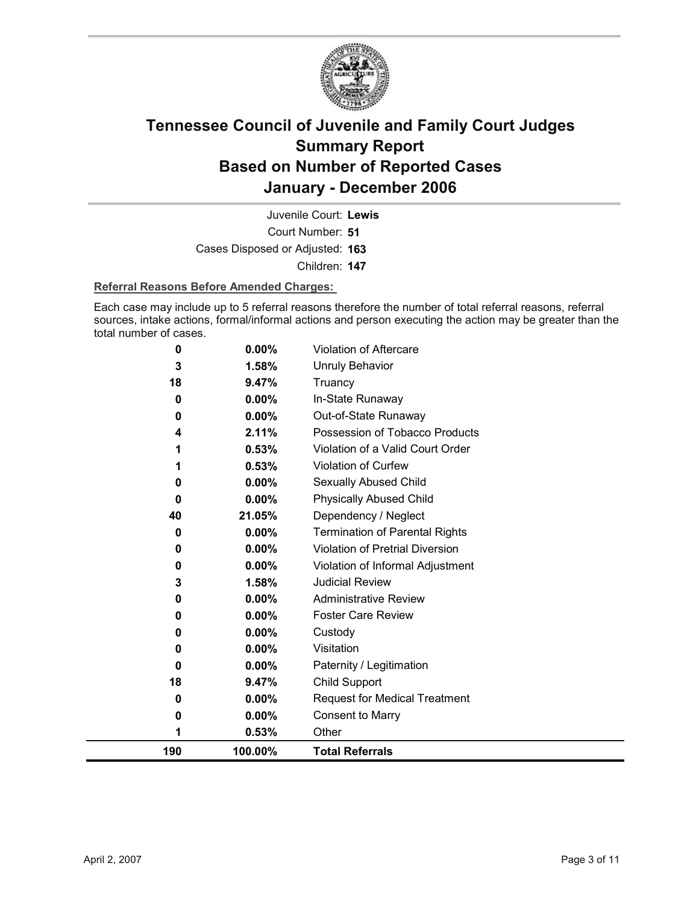

Court Number: **51** Juvenile Court: **Lewis** Cases Disposed or Adjusted: **163** Children: **147**

### **Referral Reasons Before Amended Charges:**

Each case may include up to 5 referral reasons therefore the number of total referral reasons, referral sources, intake actions, formal/informal actions and person executing the action may be greater than the total number of cases.

| 1  | 0.53%                                            | Other                                                                                                              |
|----|--------------------------------------------------|--------------------------------------------------------------------------------------------------------------------|
| 0  | 0.00%                                            | Consent to Marry                                                                                                   |
| 0  | $0.00\%$                                         | <b>Request for Medical Treatment</b>                                                                               |
| 18 | 9.47%                                            | Child Support                                                                                                      |
| 0  | 0.00%                                            | Paternity / Legitimation                                                                                           |
| 0  | 0.00%                                            | Visitation                                                                                                         |
| 0  | 0.00%                                            | Custody                                                                                                            |
| 0  | $0.00\%$                                         | <b>Foster Care Review</b>                                                                                          |
| 0  | 0.00%                                            | <b>Administrative Review</b>                                                                                       |
| 3  | 1.58%                                            | <b>Judicial Review</b>                                                                                             |
| 0  | 0.00%                                            | Violation of Informal Adjustment                                                                                   |
| 0  | 0.00%                                            | Violation of Pretrial Diversion                                                                                    |
|    |                                                  | <b>Termination of Parental Rights</b>                                                                              |
|    |                                                  | Dependency / Neglect                                                                                               |
|    |                                                  | <b>Physically Abused Child</b>                                                                                     |
|    |                                                  | Sexually Abused Child                                                                                              |
|    |                                                  | Violation of Curfew                                                                                                |
|    |                                                  | Violation of a Valid Court Order                                                                                   |
|    |                                                  | Out-of-State Runaway<br>Possession of Tobacco Products                                                             |
|    |                                                  | In-State Runaway                                                                                                   |
|    |                                                  | Truancy                                                                                                            |
|    |                                                  | Unruly Behavior                                                                                                    |
|    |                                                  | Violation of Aftercare                                                                                             |
|    | 0<br>3<br>18<br>0<br>0<br>4<br>0<br>0<br>40<br>0 | 0.00%<br>1.58%<br>9.47%<br>$0.00\%$<br>$0.00\%$<br>2.11%<br>0.53%<br>0.53%<br>0.00%<br>$0.00\%$<br>21.05%<br>0.00% |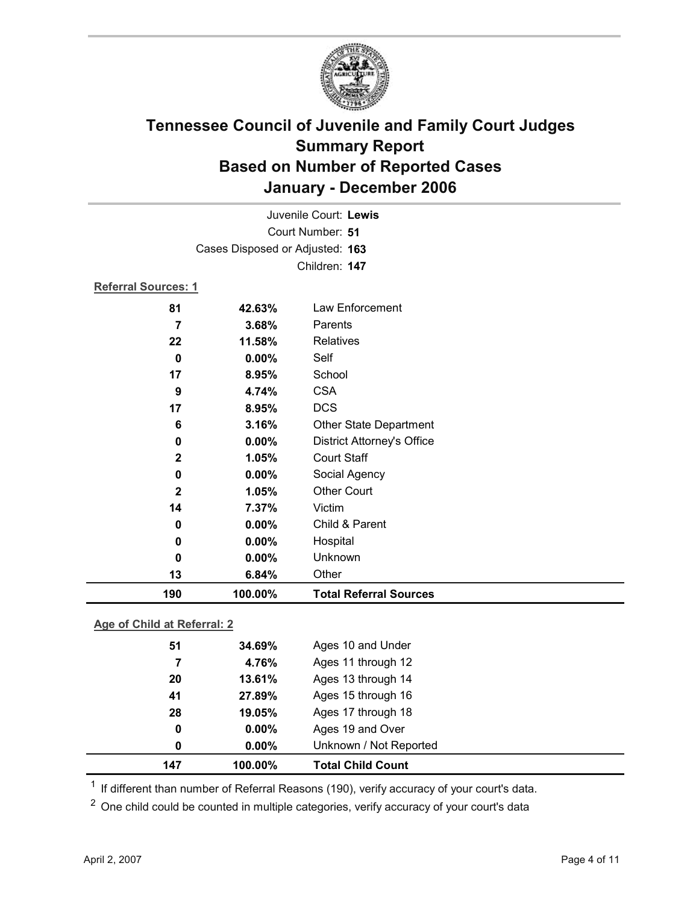

|                            | Juvenile Court: Lewis           |                                   |  |  |
|----------------------------|---------------------------------|-----------------------------------|--|--|
|                            | Court Number: 51                |                                   |  |  |
|                            | Cases Disposed or Adjusted: 163 |                                   |  |  |
|                            |                                 | Children: 147                     |  |  |
| <b>Referral Sources: 1</b> |                                 |                                   |  |  |
| 81                         | 42.63%                          | Law Enforcement                   |  |  |
| 7                          | 3.68%                           | Parents                           |  |  |
| 22                         | 11.58%                          | <b>Relatives</b>                  |  |  |
| 0                          | 0.00%                           | Self                              |  |  |
| 17                         | 8.95%                           | School                            |  |  |
| 9                          | 4.74%                           | <b>CSA</b>                        |  |  |
| 17                         | 8.95%                           | <b>DCS</b>                        |  |  |
| 6                          | 3.16%                           | <b>Other State Department</b>     |  |  |
| 0                          | 0.00%                           | <b>District Attorney's Office</b> |  |  |
| $\mathbf 2$                | 1.05%                           | <b>Court Staff</b>                |  |  |
| 0                          | $0.00\%$                        | Social Agency                     |  |  |
| $\mathbf{2}$               | 1.05%                           | <b>Other Court</b>                |  |  |
| 14                         | 7.37%                           | Victim                            |  |  |
| 0                          | 0.00%                           | Child & Parent                    |  |  |
| 0                          | 0.00%                           | Hospital                          |  |  |
| 0                          | 0.00%                           | Unknown                           |  |  |
| 13                         | 6.84%                           | Other                             |  |  |
| 190                        | 100.00%                         | <b>Total Referral Sources</b>     |  |  |

### **Age of Child at Referral: 2**

| 147 | 100.00%  | <b>Total Child Count</b> |
|-----|----------|--------------------------|
| 0   | $0.00\%$ | Unknown / Not Reported   |
| 0   | $0.00\%$ | Ages 19 and Over         |
| 28  | 19.05%   | Ages 17 through 18       |
| 41  | 27.89%   | Ages 15 through 16       |
| 20  | 13.61%   | Ages 13 through 14       |
| 7   | 4.76%    | Ages 11 through 12       |
| 51  | 34.69%   | Ages 10 and Under        |
|     |          |                          |

<sup>1</sup> If different than number of Referral Reasons (190), verify accuracy of your court's data.

<sup>2</sup> One child could be counted in multiple categories, verify accuracy of your court's data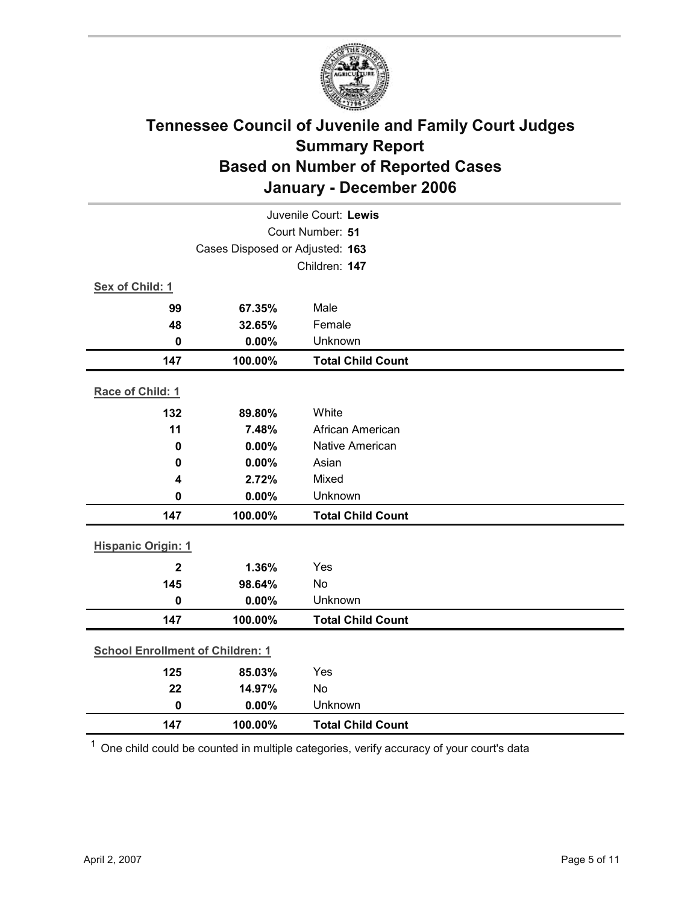

| Juvenile Court: Lewis                   |                                 |                          |  |  |
|-----------------------------------------|---------------------------------|--------------------------|--|--|
| Court Number: 51                        |                                 |                          |  |  |
|                                         | Cases Disposed or Adjusted: 163 |                          |  |  |
|                                         |                                 | Children: 147            |  |  |
| Sex of Child: 1                         |                                 |                          |  |  |
| 99                                      | 67.35%                          | Male                     |  |  |
| 48                                      | 32.65%                          | Female                   |  |  |
| $\mathbf 0$                             | 0.00%                           | Unknown                  |  |  |
| 147                                     | 100.00%                         | <b>Total Child Count</b> |  |  |
| Race of Child: 1                        |                                 |                          |  |  |
| 132                                     | 89.80%                          | White                    |  |  |
| 11                                      | 7.48%                           | African American         |  |  |
| $\mathbf 0$                             | 0.00%                           | <b>Native American</b>   |  |  |
| 0                                       | 0.00%                           | Asian                    |  |  |
| 4                                       | 2.72%                           | Mixed                    |  |  |
| $\mathbf 0$                             | 0.00%                           | Unknown                  |  |  |
| 147                                     | 100.00%                         | <b>Total Child Count</b> |  |  |
| <b>Hispanic Origin: 1</b>               |                                 |                          |  |  |
| $\overline{2}$                          | 1.36%                           | Yes                      |  |  |
| 145                                     | 98.64%                          | No                       |  |  |
| $\mathbf 0$                             | 0.00%                           | Unknown                  |  |  |
| 147                                     | 100.00%                         | <b>Total Child Count</b> |  |  |
| <b>School Enrollment of Children: 1</b> |                                 |                          |  |  |
| 125                                     | 85.03%                          | Yes                      |  |  |
| 22                                      | 14.97%                          | No                       |  |  |
| $\mathbf 0$                             | 0.00%                           | Unknown                  |  |  |
| 147                                     | 100.00%                         | <b>Total Child Count</b> |  |  |

 $1$  One child could be counted in multiple categories, verify accuracy of your court's data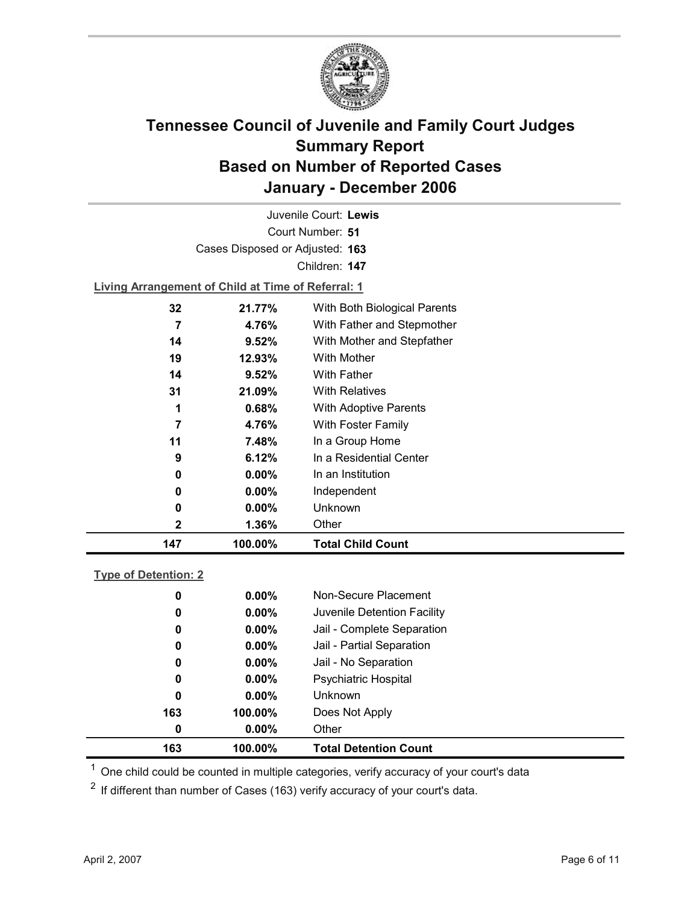

Court Number: **51** Juvenile Court: **Lewis** Cases Disposed or Adjusted: **163** Children: **147 Living Arrangement of Child at Time of Referral: 1**

| 147 | 100.00%  | <b>Total Child Count</b>     |
|-----|----------|------------------------------|
| 2   | 1.36%    | Other                        |
| 0   | $0.00\%$ | Unknown                      |
| 0   | $0.00\%$ | Independent                  |
| 0   | $0.00\%$ | In an Institution            |
| 9   | 6.12%    | In a Residential Center      |
| 11  | 7.48%    | In a Group Home              |
| 7   | 4.76%    | With Foster Family           |
| 1   | $0.68\%$ | <b>With Adoptive Parents</b> |
| 31  | 21.09%   | <b>With Relatives</b>        |
| 14  | $9.52\%$ | <b>With Father</b>           |
| 19  | 12.93%   | With Mother                  |
| 14  | 9.52%    | With Mother and Stepfather   |
| 7   | 4.76%    | With Father and Stepmother   |
| 32  | 21.77%   | With Both Biological Parents |
|     |          |                              |

### **Type of Detention: 2**

| 163 | 100.00%       |                | <b>Total Detention Count</b> |
|-----|---------------|----------------|------------------------------|
|     | $0.00\%$<br>0 | Other          |                              |
| 163 | 100.00%       |                | Does Not Apply               |
|     | 0<br>$0.00\%$ | <b>Unknown</b> |                              |
|     | $0.00\%$<br>0 |                | Psychiatric Hospital         |
|     | $0.00\%$<br>0 |                | Jail - No Separation         |
|     | $0.00\%$<br>0 |                | Jail - Partial Separation    |
|     | $0.00\%$<br>0 |                | Jail - Complete Separation   |
|     | $0.00\%$<br>0 |                | Juvenile Detention Facility  |
|     | $0.00\%$<br>0 |                | Non-Secure Placement         |
|     |               |                |                              |

 $<sup>1</sup>$  One child could be counted in multiple categories, verify accuracy of your court's data</sup>

 $2$  If different than number of Cases (163) verify accuracy of your court's data.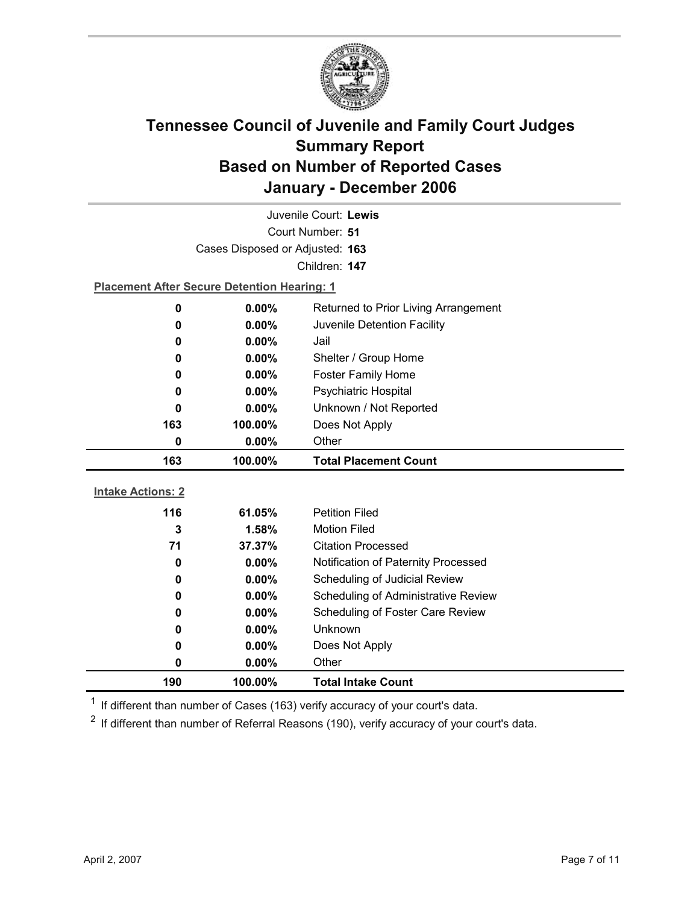

| Juvenile Court: Lewis            |                                                    |                                      |  |  |
|----------------------------------|----------------------------------------------------|--------------------------------------|--|--|
| Court Number: 51                 |                                                    |                                      |  |  |
|                                  | Cases Disposed or Adjusted: 163                    |                                      |  |  |
|                                  |                                                    | Children: 147                        |  |  |
|                                  | <b>Placement After Secure Detention Hearing: 1</b> |                                      |  |  |
| 0                                | 0.00%                                              | Returned to Prior Living Arrangement |  |  |
| 0                                | 0.00%                                              | Juvenile Detention Facility          |  |  |
| 0                                | $0.00\%$                                           | Jail                                 |  |  |
| 0                                | $0.00\%$                                           | Shelter / Group Home                 |  |  |
| 0                                | 0.00%                                              | <b>Foster Family Home</b>            |  |  |
| 0                                | $0.00\%$                                           | Psychiatric Hospital                 |  |  |
| 0                                | $0.00\%$                                           | Unknown / Not Reported               |  |  |
| Does Not Apply<br>163<br>100.00% |                                                    |                                      |  |  |
| Other<br>0<br>$0.00\%$           |                                                    |                                      |  |  |
|                                  |                                                    |                                      |  |  |
| 163                              | 100.00%                                            | <b>Total Placement Count</b>         |  |  |
|                                  |                                                    |                                      |  |  |
| <b>Intake Actions: 2</b>         |                                                    |                                      |  |  |
| 116                              | 61.05%                                             | <b>Petition Filed</b>                |  |  |
| 3                                | 1.58%                                              | <b>Motion Filed</b>                  |  |  |
| 71                               | 37.37%                                             | <b>Citation Processed</b>            |  |  |
| 0                                | $0.00\%$                                           | Notification of Paternity Processed  |  |  |
| 0                                | 0.00%                                              | Scheduling of Judicial Review        |  |  |
| 0                                | $0.00\%$                                           | Scheduling of Administrative Review  |  |  |
| 0                                | 0.00%                                              | Scheduling of Foster Care Review     |  |  |
| 0                                | 0.00%                                              | <b>Unknown</b>                       |  |  |
| 0                                | 0.00%                                              | Does Not Apply                       |  |  |
| 0<br>190                         | 0.00%<br>100.00%                                   | Other<br><b>Total Intake Count</b>   |  |  |

 $1$  If different than number of Cases (163) verify accuracy of your court's data.

 $2$  If different than number of Referral Reasons (190), verify accuracy of your court's data.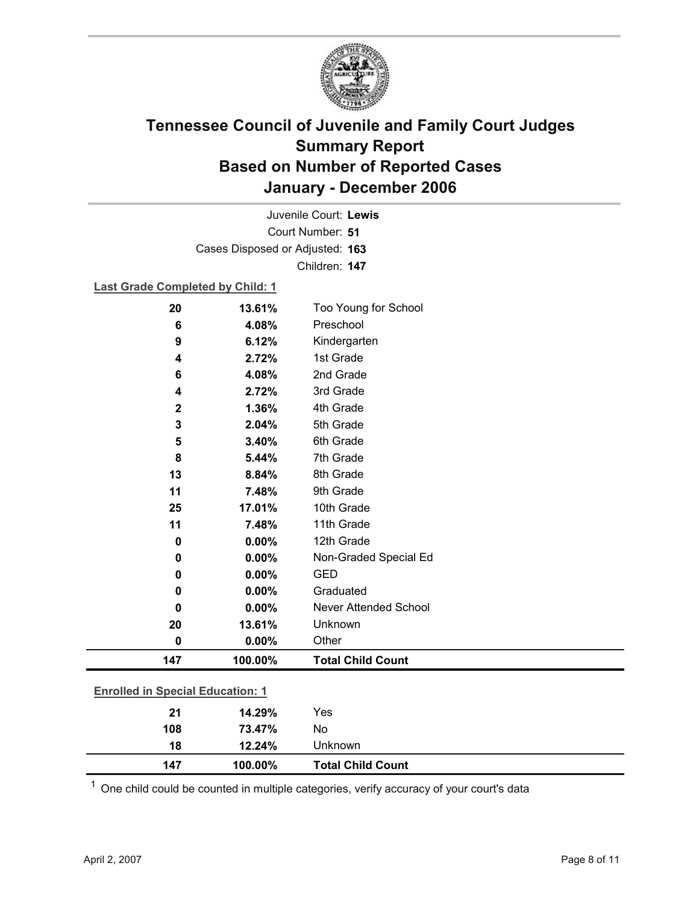

Court Number: **51** Juvenile Court: **Lewis** Cases Disposed or Adjusted: **163** Children: **147**

### **Last Grade Completed by Child: 1**

| 20                                      | 13.61%  | Too Young for School         |  |
|-----------------------------------------|---------|------------------------------|--|
| $6\phantom{1}6$                         | 4.08%   | Preschool                    |  |
| 9                                       | 6.12%   | Kindergarten                 |  |
| 4                                       | 2.72%   | 1st Grade                    |  |
| 6                                       | 4.08%   | 2nd Grade                    |  |
| 4                                       | 2.72%   | 3rd Grade                    |  |
| $\mathbf 2$                             | 1.36%   | 4th Grade                    |  |
| 3                                       | 2.04%   | 5th Grade                    |  |
| 5                                       | 3.40%   | 6th Grade                    |  |
| 8                                       | 5.44%   | 7th Grade                    |  |
| 13                                      | 8.84%   | 8th Grade                    |  |
| 11                                      | 7.48%   | 9th Grade                    |  |
| 25                                      | 17.01%  | 10th Grade                   |  |
| 11                                      | 7.48%   | 11th Grade                   |  |
| $\bf{0}$                                | 0.00%   | 12th Grade                   |  |
| $\bf{0}$                                | 0.00%   | Non-Graded Special Ed        |  |
| 0                                       | 0.00%   | <b>GED</b>                   |  |
| 0                                       | 0.00%   | Graduated                    |  |
| 0                                       | 0.00%   | <b>Never Attended School</b> |  |
| 20                                      | 13.61%  | Unknown                      |  |
| $\bf{0}$                                | 0.00%   | Other                        |  |
| 147                                     | 100.00% | <b>Total Child Count</b>     |  |
| <b>Enrolled in Special Education: 1</b> |         |                              |  |
| 21                                      | 14.29%  | Yes                          |  |
| 108                                     | 73.47%  | No                           |  |
|                                         |         |                              |  |

 $1$  One child could be counted in multiple categories, verify accuracy of your court's data

**18 12.24%** Unknown

**147 100.00% Total Child Count**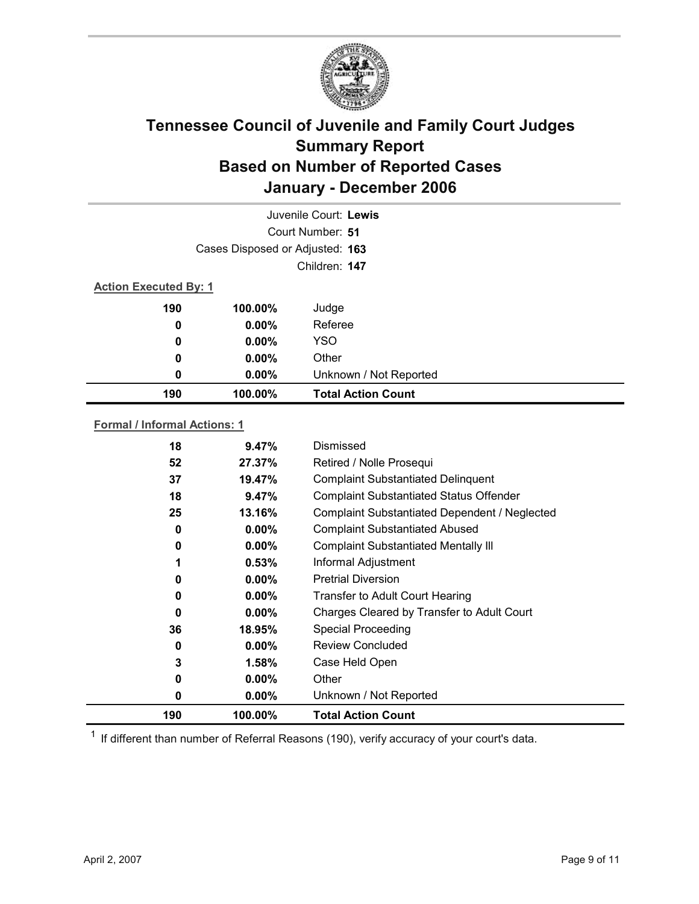

|     | Juvenile Court: Lewis<br>Court Number: 51 |                           |  |  |
|-----|-------------------------------------------|---------------------------|--|--|
|     |                                           |                           |  |  |
|     | Cases Disposed or Adjusted: 163           |                           |  |  |
|     | Children: 147                             |                           |  |  |
|     | <b>Action Executed By: 1</b>              |                           |  |  |
| 190 | 100.00%                                   | Judge                     |  |  |
| 0   | $0.00\%$                                  | Referee                   |  |  |
| 0   | $0.00\%$                                  | <b>YSO</b>                |  |  |
| 0   | $0.00\%$                                  | Other                     |  |  |
| 0   | $0.00\%$                                  | Unknown / Not Reported    |  |  |
| 190 | 100.00%                                   | <b>Total Action Count</b> |  |  |
|     |                                           |                           |  |  |

### **Formal / Informal Actions: 1**

| 18  | 9.47%    | Dismissed                                      |
|-----|----------|------------------------------------------------|
| 52  | 27.37%   | Retired / Nolle Prosequi                       |
| 37  | 19.47%   | <b>Complaint Substantiated Delinquent</b>      |
| 18  | 9.47%    | <b>Complaint Substantiated Status Offender</b> |
| 25  | 13.16%   | Complaint Substantiated Dependent / Neglected  |
| 0   | $0.00\%$ | <b>Complaint Substantiated Abused</b>          |
| 0   | $0.00\%$ | <b>Complaint Substantiated Mentally III</b>    |
| 1   | 0.53%    | Informal Adjustment                            |
| 0   | $0.00\%$ | <b>Pretrial Diversion</b>                      |
| 0   | $0.00\%$ | Transfer to Adult Court Hearing                |
| 0   | $0.00\%$ | Charges Cleared by Transfer to Adult Court     |
| 36  | 18.95%   | <b>Special Proceeding</b>                      |
| 0   | $0.00\%$ | <b>Review Concluded</b>                        |
| 3   | 1.58%    | Case Held Open                                 |
| 0   | $0.00\%$ | Other                                          |
| 0   | $0.00\%$ | Unknown / Not Reported                         |
| 190 | 100.00%  | <b>Total Action Count</b>                      |

 $1$  If different than number of Referral Reasons (190), verify accuracy of your court's data.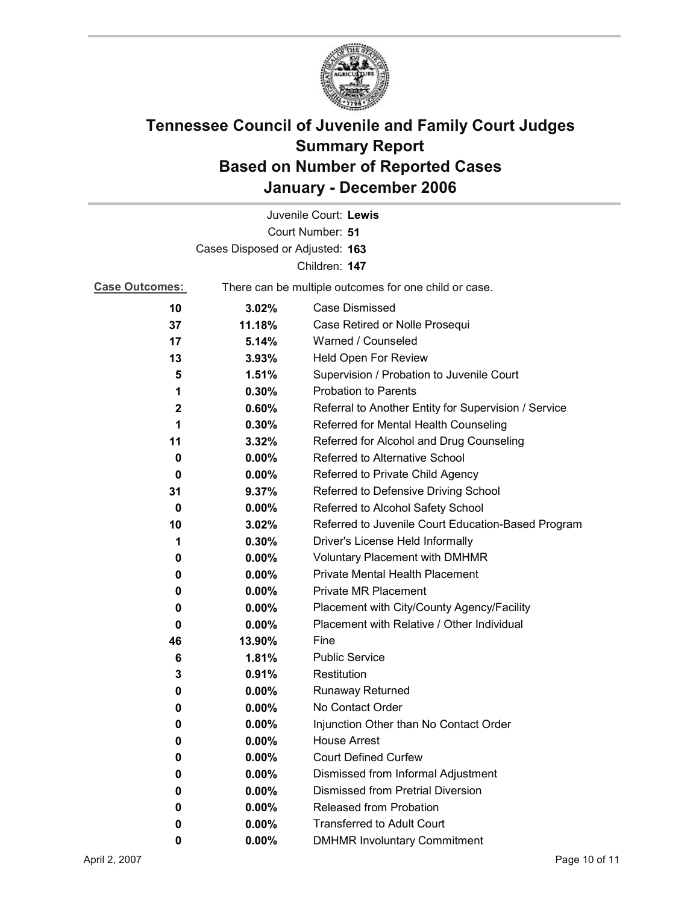

|                                 |                                                       | Juvenile Court: Lewis                                |
|---------------------------------|-------------------------------------------------------|------------------------------------------------------|
|                                 |                                                       | Court Number: 51                                     |
| Cases Disposed or Adjusted: 163 |                                                       |                                                      |
|                                 |                                                       | Children: 147                                        |
| <b>Case Outcomes:</b>           | There can be multiple outcomes for one child or case. |                                                      |
| 10                              | 3.02%                                                 | <b>Case Dismissed</b>                                |
| 37                              | 11.18%                                                | Case Retired or Nolle Prosequi                       |
| 17                              | 5.14%                                                 | Warned / Counseled                                   |
| 13                              | 3.93%                                                 | Held Open For Review                                 |
| 5                               | 1.51%                                                 | Supervision / Probation to Juvenile Court            |
| 1                               | 0.30%                                                 | <b>Probation to Parents</b>                          |
| 2                               | 0.60%                                                 | Referral to Another Entity for Supervision / Service |
| 1                               | 0.30%                                                 | Referred for Mental Health Counseling                |
| 11                              | 3.32%                                                 | Referred for Alcohol and Drug Counseling             |
| 0                               | 0.00%                                                 | Referred to Alternative School                       |
| 0                               | $0.00\%$                                              | Referred to Private Child Agency                     |
| 31                              | 9.37%                                                 | Referred to Defensive Driving School                 |
| 0                               | $0.00\%$                                              | Referred to Alcohol Safety School                    |
| 10                              | 3.02%                                                 | Referred to Juvenile Court Education-Based Program   |
| 1                               | 0.30%                                                 | Driver's License Held Informally                     |
| 0                               | $0.00\%$                                              | <b>Voluntary Placement with DMHMR</b>                |
| 0                               | 0.00%                                                 | <b>Private Mental Health Placement</b>               |
| 0                               | 0.00%                                                 | <b>Private MR Placement</b>                          |
| 0                               | $0.00\%$                                              | Placement with City/County Agency/Facility           |
| 0                               | $0.00\%$                                              | Placement with Relative / Other Individual           |
| 46                              | 13.90%                                                | Fine                                                 |
| 6                               | 1.81%                                                 | <b>Public Service</b>                                |
| 3                               | 0.91%                                                 | Restitution                                          |
| 0                               | $0.00\%$                                              | <b>Runaway Returned</b>                              |
| 0                               | 0.00%                                                 | No Contact Order                                     |
| 0                               | 0.00%                                                 | Injunction Other than No Contact Order               |
| 0                               | 0.00%                                                 | <b>House Arrest</b>                                  |
| 0                               | 0.00%                                                 | <b>Court Defined Curfew</b>                          |
| 0                               | 0.00%                                                 | Dismissed from Informal Adjustment                   |
| 0                               | $0.00\%$                                              | <b>Dismissed from Pretrial Diversion</b>             |
| 0                               | 0.00%                                                 | Released from Probation                              |
| 0                               | 0.00%                                                 | <b>Transferred to Adult Court</b>                    |
| 0                               | $0.00\%$                                              | <b>DMHMR Involuntary Commitment</b>                  |